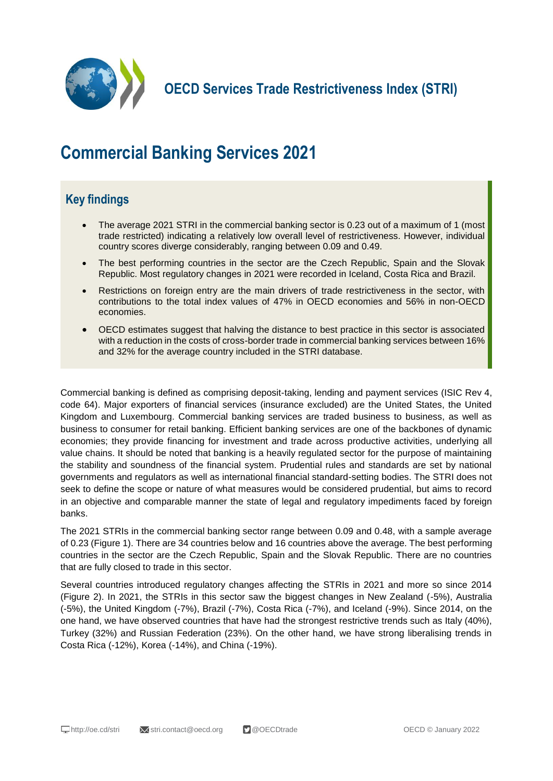

**OECD Services Trade Restrictiveness Index (STRI)**

# **Commercial Banking Services 2021**

## **Key findings**

- The average 2021 STRI in the commercial banking sector is 0.23 out of a maximum of 1 (most trade restricted) indicating a relatively low overall level of restrictiveness. However, individual country scores diverge considerably, ranging between 0.09 and 0.49.
- The best performing countries in the sector are the Czech Republic, Spain and the Slovak Republic. Most regulatory changes in 2021 were recorded in Iceland, Costa Rica and Brazil.
- Restrictions on foreign entry are the main drivers of trade restrictiveness in the sector, with contributions to the total index values of 47% in OECD economies and 56% in non-OECD economies.
- OECD estimates suggest that halving the distance to best practice in this sector is associated with a reduction in the costs of cross-border trade in commercial banking services between 16% and 32% for the average country included in the STRI database.

Commercial banking is defined as comprising deposit-taking, lending and payment services (ISIC Rev 4, code 64). Major exporters of financial services (insurance excluded) are the United States, the United Kingdom and Luxembourg. Commercial banking services are traded business to business, as well as business to consumer for retail banking. Efficient banking services are one of the backbones of dynamic economies; they provide financing for investment and trade across productive activities, underlying all value chains. It should be noted that banking is a heavily regulated sector for the purpose of maintaining the stability and soundness of the financial system. Prudential rules and standards are set by national governments and regulators as well as international financial standard-setting bodies. The STRI does not seek to define the scope or nature of what measures would be considered prudential, but aims to record in an objective and comparable manner the state of legal and regulatory impediments faced by foreign banks.

The 2021 STRIs in the commercial banking sector range between 0.09 and 0.48, with a sample average of 0.23 (Figure 1). There are 34 countries below and 16 countries above the average. The best performing countries in the sector are the Czech Republic, Spain and the Slovak Republic. There are no countries that are fully closed to trade in this sector.

Several countries introduced regulatory changes affecting the STRIs in 2021 and more so since 2014 (Figure 2). In 2021, the STRIs in this sector saw the biggest changes in New Zealand (-5%), Australia (-5%), the United Kingdom (-7%), Brazil (-7%), Costa Rica (-7%), and Iceland (-9%). Since 2014, on the one hand, we have observed countries that have had the strongest restrictive trends such as Italy (40%), Turkey (32%) and Russian Federation (23%). On the other hand, we have strong liberalising trends in Costa Rica (-12%), Korea (-14%), and China (-19%).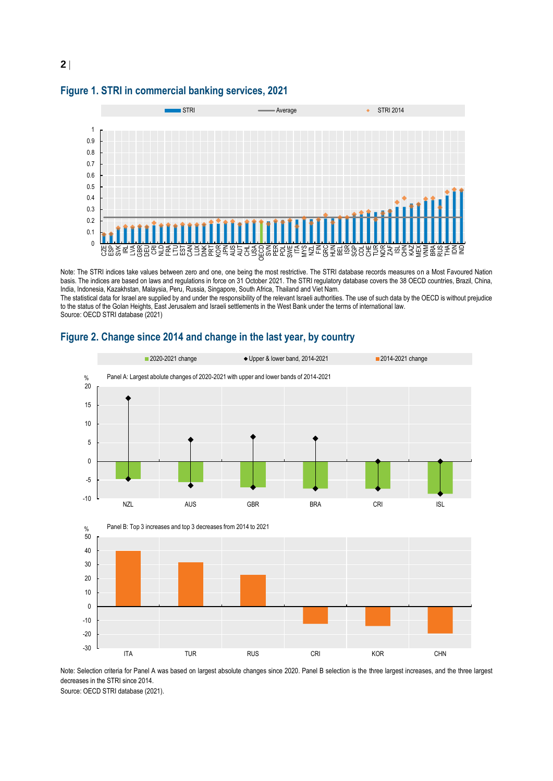



Note: The STRI indices take values between zero and one, one being the most restrictive. The STRI database records measures on a Most Favoured Nation basis. The indices are based on laws and regulations in force on 31 October 2021. The STRI regulatory database covers the 38 OECD countries, Brazil, China, India, Indonesia, Kazakhstan, Malaysia, Peru, Russia, Singapore, South Africa, Thailand and Viet Nam.

The statistical data for Israel are supplied by and under the responsibility of the relevant Israeli authorities. The use of such data by the OECD is without prejudice to the status of the Golan Heights, East Jerusalem and Israeli settlements in the West Bank under the terms of international law. Source: OECD STRI database (2021)



#### **Figure 2. Change since 2014 and change in the last year, by country**

Note: Selection criteria for Panel A was based on largest absolute changes since 2020. Panel B selection is the three largest increases, and the three largest decreases in the STRI since 2014.

Source: OECD STRI database (2021).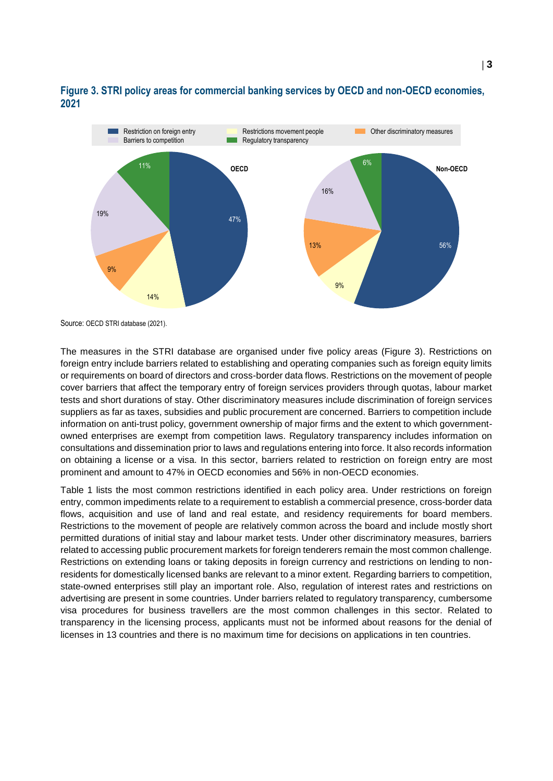

### **Figure 3. STRI policy areas for commercial banking services by OECD and non-OECD economies, 2021**

Source: OECD STRI database (2021).

The measures in the STRI database are organised under five policy areas (Figure 3). Restrictions on foreign entry include barriers related to establishing and operating companies such as foreign equity limits or requirements on board of directors and cross-border data flows. Restrictions on the movement of people cover barriers that affect the temporary entry of foreign services providers through quotas, labour market tests and short durations of stay. Other discriminatory measures include discrimination of foreign services suppliers as far as taxes, subsidies and public procurement are concerned. Barriers to competition include information on anti-trust policy, government ownership of major firms and the extent to which governmentowned enterprises are exempt from competition laws. Regulatory transparency includes information on consultations and dissemination prior to laws and regulations entering into force. It also records information on obtaining a license or a visa. In this sector, barriers related to restriction on foreign entry are most prominent and amount to 47% in OECD economies and 56% in non-OECD economies.

Table 1 lists the most common restrictions identified in each policy area. Under restrictions on foreign entry, common impediments relate to a requirement to establish a commercial presence, cross-border data flows, acquisition and use of land and real estate, and residency requirements for board members. Restrictions to the movement of people are relatively common across the board and include mostly short permitted durations of initial stay and labour market tests. Under other discriminatory measures, barriers related to accessing public procurement markets for foreign tenderers remain the most common challenge. Restrictions on extending loans or taking deposits in foreign currency and restrictions on lending to nonresidents for domestically licensed banks are relevant to a minor extent. Regarding barriers to competition, state-owned enterprises still play an important role. Also, regulation of interest rates and restrictions on advertising are present in some countries. Under barriers related to regulatory transparency, cumbersome visa procedures for business travellers are the most common challenges in this sector. Related to transparency in the licensing process, applicants must not be informed about reasons for the denial of licenses in 13 countries and there is no maximum time for decisions on applications in ten countries.